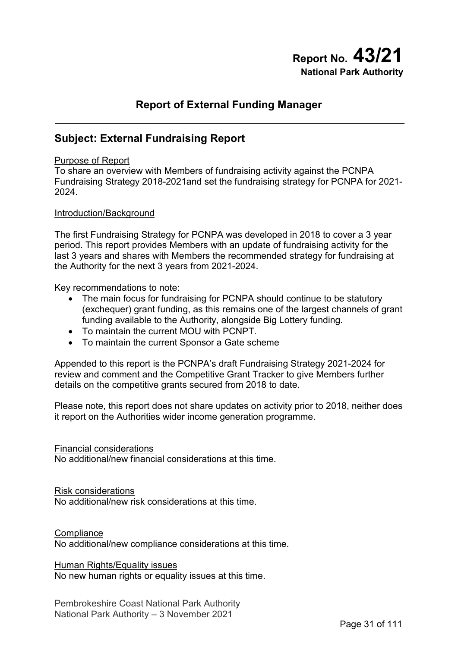# **Report No. 43/21 National Park Authority**

# **Report of External Funding Manager**

# **Subject: External Fundraising Report**

#### Purpose of Report

To share an overview with Members of fundraising activity against the PCNPA Fundraising Strategy 2018-2021and set the fundraising strategy for PCNPA for 2021- 2024.

#### Introduction/Background

The first Fundraising Strategy for PCNPA was developed in 2018 to cover a 3 year period. This report provides Members with an update of fundraising activity for the last 3 years and shares with Members the recommended strategy for fundraising at the Authority for the next 3 years from 2021-2024.

Key recommendations to note:

- The main focus for fundraising for PCNPA should continue to be statutory (exchequer) grant funding, as this remains one of the largest channels of grant funding available to the Authority, alongside Big Lottery funding.
- To maintain the current MOU with PCNPT.
- To maintain the current Sponsor a Gate scheme

Appended to this report is the PCNPA's draft Fundraising Strategy 2021-2024 for review and comment and the Competitive Grant Tracker to give Members further details on the competitive grants secured from 2018 to date.

Please note, this report does not share updates on activity prior to 2018, neither does it report on the Authorities wider income generation programme.

#### Financial considerations

No additional/new financial considerations at this time.

#### Risk considerations

No additional/new risk considerations at this time.

#### **Compliance**

No additional/new compliance considerations at this time.

#### Human Rights/Equality issues

No new human rights or equality issues at this time.

Pembrokeshire Coast National Park Authority National Park Authority – 3 November 2021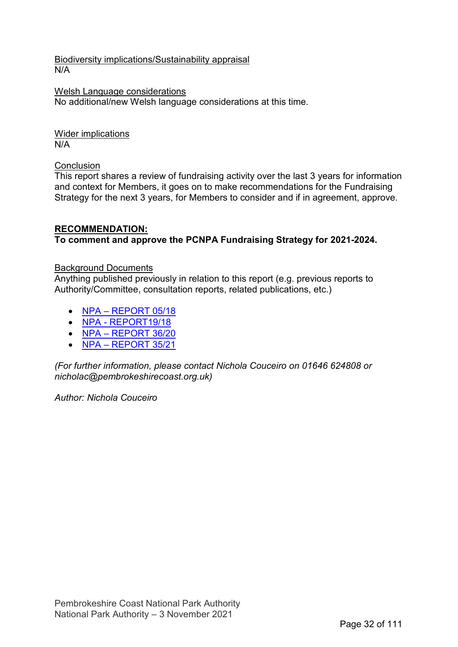Biodiversity implications/Sustainability appraisal N/A

Welsh Language considerations No additional/new Welsh language considerations at this time.

Wider implications N/A

#### Conclusion

This report shares a review of fundraising activity over the last 3 years for information and context for Members, it goes on to make recommendations for the Fundraising Strategy for the next 3 years, for Members to consider and if in agreement, approve.

#### **RECOMMENDATION: To comment and approve the PCNPA Fundraising Strategy for 2021-2024.**

#### Background Documents

Anything published previously in relation to this report (e.g. previous reports to Authority/Committee, consultation reports, related publications, etc.)

- [NPA REPORT 05/18](https://www.pembrokeshirecoast.wales/wp-content/uploads/archive/npa_2018_7_february_05_18_fundraising.pdf)
- [NPA REPORT19/18](https://www.pembrokeshirecoast.wales/wp-content/uploads/archive/npa_2018_16_may_19_18_pcnp_trust.pdf)
- [NPA REPORT 36/20](https://www.pembrokeshirecoast.wales/wp-content/uploads/2020/07/36_20-PCNPT-First-Year.pdf)
- [NPA REPORT 35/21](https://www.pembrokeshirecoast.wales/wp-content/uploads/2021/07/35_21-PCNPT-Report-28-07-21.pdf)

*(For further information, please contact Nichola Couceiro on 01646 624808 or nicholac@pembrokeshirecoast.org.uk)* 

*Author: Nichola Couceiro*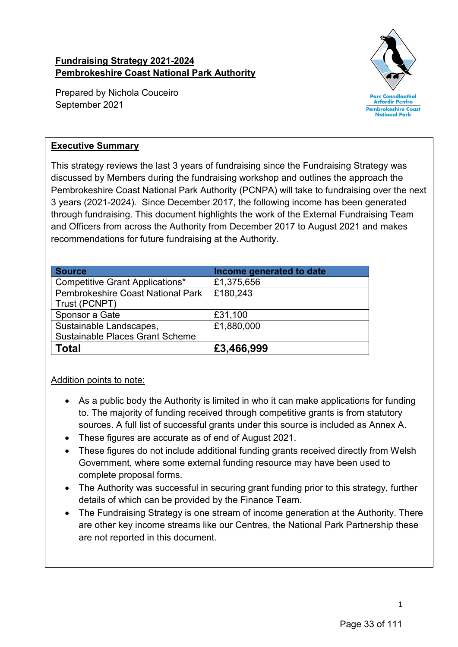### **Fundraising Strategy 2021-2024 Pembrokeshire Coast National Park Authority**

Prepared by Nichola Couceiro September 2021



#### **Executive Summary**

This strategy reviews the last 3 years of fundraising since the Fundraising Strategy was discussed by Members during the fundraising workshop and outlines the approach the Pembrokeshire Coast National Park Authority (PCNPA) will take to fundraising over the next 3 years (2021-2024). Since December 2017, the following income has been generated through fundraising. This document highlights the work of the External Fundraising Team and Officers from across the Authority from December 2017 to August 2021 and makes recommendations for future fundraising at the Authority.

| <b>Source</b>                            | Income generated to date |
|------------------------------------------|--------------------------|
| <b>Competitive Grant Applications*</b>   | £1,375,656               |
| <b>Pembrokeshire Coast National Park</b> | £180,243                 |
| Trust (PCNPT)                            |                          |
| Sponsor a Gate                           | £31,100                  |
| Sustainable Landscapes,                  | £1,880,000               |
| <b>Sustainable Places Grant Scheme</b>   |                          |
| Total                                    | £3,466,999               |

### Addition points to note:

- As a public body the Authority is limited in who it can make applications for funding to. The majority of funding received through competitive grants is from statutory sources. A full list of successful grants under this source is included as Annex A.
- These figures are accurate as of end of August 2021.
- These figures do not include additional funding grants received directly from Welsh Government, where some external funding resource may have been used to complete proposal forms.
- The Authority was successful in securing grant funding prior to this strategy, further details of which can be provided by the Finance Team.
- The Fundraising Strategy is one stream of income generation at the Authority. There are other key income streams like our Centres, the National Park Partnership these are not reported in this document.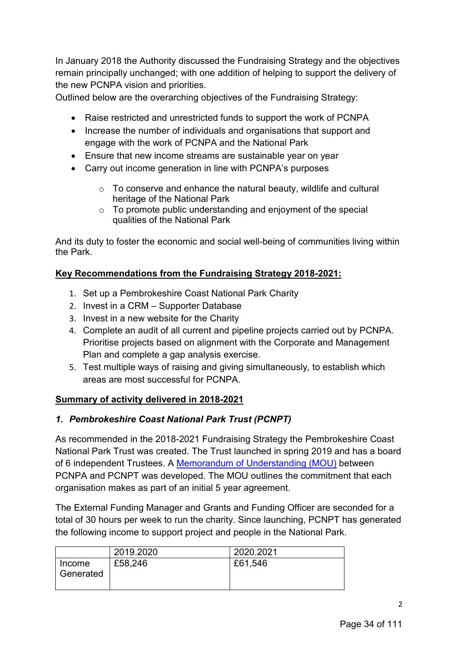In January 2018 the Authority discussed the Fundraising Strategy and the objectives remain principally unchanged; with one addition of helping to support the delivery of the new PCNPA vision and priorities.

Outlined below are the overarching objectives of the Fundraising Strategy:

- Raise restricted and unrestricted funds to support the work of PCNPA
- Increase the number of individuals and organisations that support and engage with the work of PCNPA and the National Park
- Ensure that new income streams are sustainable year on year
- Carry out income generation in line with PCNPA's purposes
	- $\circ$  To conserve and enhance the natural beauty, wildlife and cultural heritage of the National Park
	- o To promote public understanding and enjoyment of the special qualities of the National Park

And its duty to foster the economic and social well-being of communities living within the Park.

# **Key Recommendations from the Fundraising Strategy 2018-2021:**

- 1. Set up a Pembrokeshire Coast National Park Charity
- 2. Invest in a CRM Supporter Database
- 3. Invest in a new website for the Charity
- 4. Complete an audit of all current and pipeline projects carried out by PCNPA. Prioritise projects based on alignment with the Corporate and Management Plan and complete a gap analysis exercise.
- 5. Test multiple ways of raising and giving simultaneously, to establish which areas are most successful for PCNPA.

### **Summary of activity delivered in 2018-2021**

# *1. Pembrokeshire Coast National Park Trust (PCNPT)*

As recommended in the 2018-2021 Fundraising Strategy the Pembrokeshire Coast National Park Trust was created. The Trust launched in spring 2019 and has a board of 6 independent Trustees. A [Memorandum of Understanding](https://www.pembrokeshirecoast.wales/wp-content/uploads/archive/npa_2018_16_may_19_18_pcnp_trust.pdf) (MOU) between PCNPA and PCNPT was developed. The MOU outlines the commitment that each organisation makes as part of an initial 5 year agreement.

The External Funding Manager and Grants and Funding Officer are seconded for a total of 30 hours per week to run the charity. Since launching, PCNPT has generated the following income to support project and people in the National Park.

|                     | 2019.2020 | 2020.2021 |
|---------------------|-----------|-----------|
| Income<br>Generated | £58,246   | £61,546   |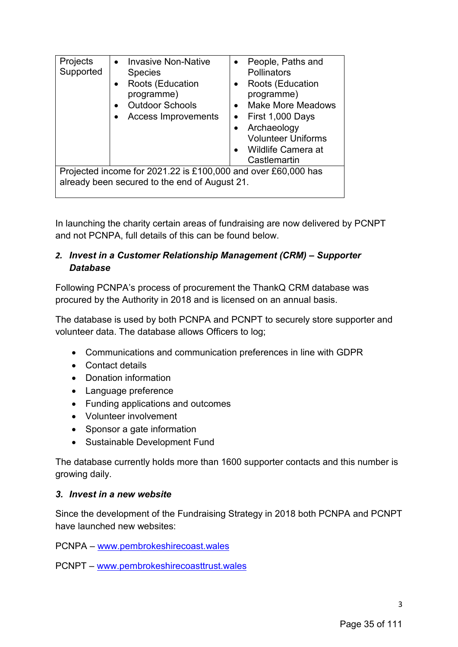| Projects<br>Supported | <b>Invasive Non-Native</b><br><b>Species</b><br>Roots (Education<br>programme)<br><b>Outdoor Schools</b><br><b>Access Improvements</b> | People, Paths and<br>Pollinators<br>Roots (Education<br>$\bullet$<br>programme)<br><b>Make More Meadows</b><br>$\bullet$<br>First 1,000 Days<br>Archaeology<br><b>Volunteer Uniforms</b><br>Wildlife Camera at<br>Castlemartin |
|-----------------------|----------------------------------------------------------------------------------------------------------------------------------------|--------------------------------------------------------------------------------------------------------------------------------------------------------------------------------------------------------------------------------|
|                       | Projected income for 2021.22 is £100,000 and over £60,000 has                                                                          |                                                                                                                                                                                                                                |
|                       | already been secured to the end of August 21.                                                                                          |                                                                                                                                                                                                                                |
|                       |                                                                                                                                        |                                                                                                                                                                                                                                |

In launching the charity certain areas of fundraising are now delivered by PCNPT and not PCNPA, full details of this can be found below.

#### *2. Invest in a Customer Relationship Management (CRM) – Supporter Database*

Following PCNPA's process of procurement the ThankQ CRM database was procured by the Authority in 2018 and is licensed on an annual basis.

The database is used by both PCNPA and PCNPT to securely store supporter and volunteer data. The database allows Officers to log;

- Communications and communication preferences in line with GDPR
- Contact details
- Donation information
- Language preference
- Funding applications and outcomes
- Volunteer involvement
- Sponsor a gate information
- Sustainable Development Fund

The database currently holds more than 1600 supporter contacts and this number is growing daily.

#### *3. Invest in a new website*

Since the development of the Fundraising Strategy in 2018 both PCNPA and PCNPT have launched new websites:

PCNPA – [www.pembrokeshirecoast.wales](http://www.pembrokeshirecoast.wales/) 

PCNPT – [www.pembrokeshirecoasttrust.wales](http://www.pembrokeshirecoasttrust.wales/)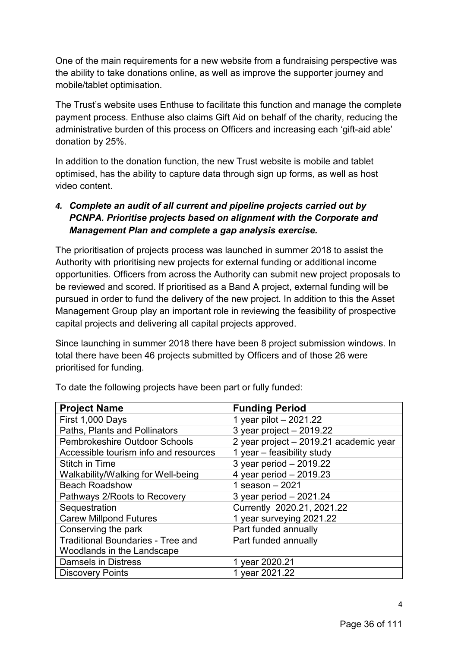One of the main requirements for a new website from a fundraising perspective was the ability to take donations online, as well as improve the supporter journey and mobile/tablet optimisation.

The Trust's website uses Enthuse to facilitate this function and manage the complete payment process. Enthuse also claims Gift Aid on behalf of the charity, reducing the administrative burden of this process on Officers and increasing each 'gift-aid able' donation by 25%.

In addition to the donation function, the new Trust website is mobile and tablet optimised, has the ability to capture data through sign up forms, as well as host video content.

### *4. Complete an audit of all current and pipeline projects carried out by PCNPA. Prioritise projects based on alignment with the Corporate and Management Plan and complete a gap analysis exercise.*

The prioritisation of projects process was launched in summer 2018 to assist the Authority with prioritising new projects for external funding or additional income opportunities. Officers from across the Authority can submit new project proposals to be reviewed and scored. If prioritised as a Band A project, external funding will be pursued in order to fund the delivery of the new project. In addition to this the Asset Management Group play an important role in reviewing the feasibility of prospective capital projects and delivering all capital projects approved.

Since launching in summer 2018 there have been 8 project submission windows. In total there have been 46 projects submitted by Officers and of those 26 were prioritised for funding.

| <b>Project Name</b>                      | <b>Funding Period</b>                  |
|------------------------------------------|----------------------------------------|
| First 1,000 Days                         | 1 year pilot - 2021.22                 |
| Paths, Plants and Pollinators            | 3 year project - 2019.22               |
| Pembrokeshire Outdoor Schools            | 2 year project - 2019.21 academic year |
| Accessible tourism info and resources    | 1 year - feasibility study             |
| <b>Stitch in Time</b>                    | 3 year period - 2019.22                |
| Walkability/Walking for Well-being       | 4 year period - 2019.23                |
| <b>Beach Roadshow</b>                    | 1 season $-2021$                       |
| Pathways 2/Roots to Recovery             | 3 year period - 2021.24                |
| Sequestration                            | Currently 2020.21, 2021.22             |
| <b>Carew Millpond Futures</b>            | 1 year surveying 2021.22               |
| Conserving the park                      | Part funded annually                   |
| <b>Traditional Boundaries - Tree and</b> | Part funded annually                   |
| Woodlands in the Landscape               |                                        |
| <b>Damsels in Distress</b>               | 1 year 2020.21                         |
| <b>Discovery Points</b>                  | 1 year 2021.22                         |

To date the following projects have been part or fully funded: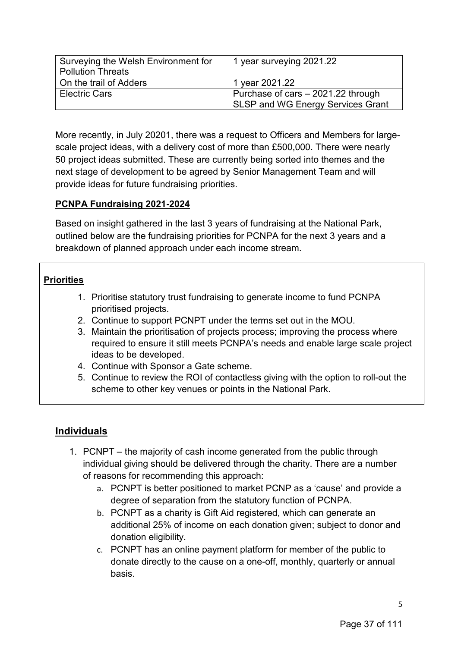| Surveying the Welsh Environment for<br><b>Pollution Threats</b> | 1 year surveying 2021.22           |
|-----------------------------------------------------------------|------------------------------------|
| On the trail of Adders                                          | 1 year 2021.22                     |
| <b>Electric Cars</b>                                            | Purchase of cars – 2021.22 through |
|                                                                 | SLSP and WG Energy Services Grant  |

More recently, in July 20201, there was a request to Officers and Members for largescale project ideas, with a delivery cost of more than £500,000. There were nearly 50 project ideas submitted. These are currently being sorted into themes and the next stage of development to be agreed by Senior Management Team and will provide ideas for future fundraising priorities.

#### **PCNPA Fundraising 2021-2024**

Based on insight gathered in the last 3 years of fundraising at the National Park, outlined below are the fundraising priorities for PCNPA for the next 3 years and a breakdown of planned approach under each income stream.

#### **Priorities**

- 1. Prioritise statutory trust fundraising to generate income to fund PCNPA prioritised projects.
- 2. Continue to support PCNPT under the terms set out in the MOU.
- 3. Maintain the prioritisation of projects process; improving the process where required to ensure it still meets PCNPA's needs and enable large scale project ideas to be developed.
- 4. Continue with Sponsor a Gate scheme.
- 5. Continue to review the ROI of contactless giving with the option to roll-out the scheme to other key venues or points in the National Park.

# **Individuals**

- 1. PCNPT the majority of cash income generated from the public through individual giving should be delivered through the charity. There are a number of reasons for recommending this approach:
	- a. PCNPT is better positioned to market PCNP as a 'cause' and provide a degree of separation from the statutory function of PCNPA.
	- b. PCNPT as a charity is Gift Aid registered, which can generate an additional 25% of income on each donation given; subject to donor and donation eligibility.
	- c. PCNPT has an online payment platform for member of the public to donate directly to the cause on a one-off, monthly, quarterly or annual basis.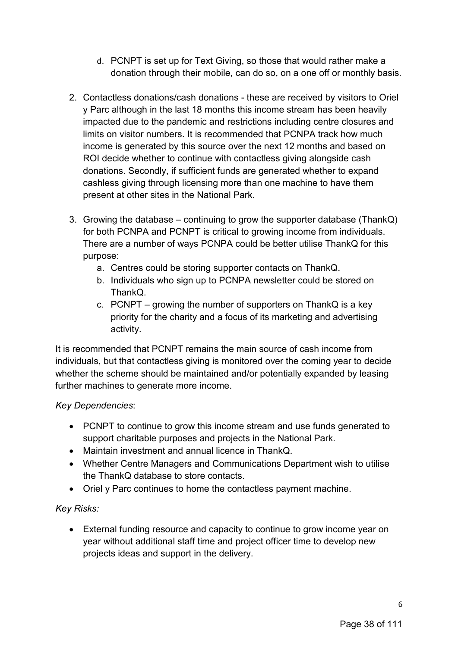- d. PCNPT is set up for Text Giving, so those that would rather make a donation through their mobile, can do so, on a one off or monthly basis.
- 2. Contactless donations/cash donations these are received by visitors to Oriel y Parc although in the last 18 months this income stream has been heavily impacted due to the pandemic and restrictions including centre closures and limits on visitor numbers. It is recommended that PCNPA track how much income is generated by this source over the next 12 months and based on ROI decide whether to continue with contactless giving alongside cash donations. Secondly, if sufficient funds are generated whether to expand cashless giving through licensing more than one machine to have them present at other sites in the National Park.
- 3. Growing the database continuing to grow the supporter database (ThankQ) for both PCNPA and PCNPT is critical to growing income from individuals. There are a number of ways PCNPA could be better utilise ThankQ for this purpose:
	- a. Centres could be storing supporter contacts on ThankQ.
	- b. Individuals who sign up to PCNPA newsletter could be stored on ThankQ.
	- c. PCNPT growing the number of supporters on ThankQ is a key priority for the charity and a focus of its marketing and advertising activity.

It is recommended that PCNPT remains the main source of cash income from individuals, but that contactless giving is monitored over the coming year to decide whether the scheme should be maintained and/or potentially expanded by leasing further machines to generate more income.

### *Key Dependencies*:

- PCNPT to continue to grow this income stream and use funds generated to support charitable purposes and projects in the National Park.
- Maintain investment and annual licence in ThankQ.
- Whether Centre Managers and Communications Department wish to utilise the ThankQ database to store contacts.
- Oriel y Parc continues to home the contactless payment machine.

### *Key Risks:*

• External funding resource and capacity to continue to grow income year on year without additional staff time and project officer time to develop new projects ideas and support in the delivery.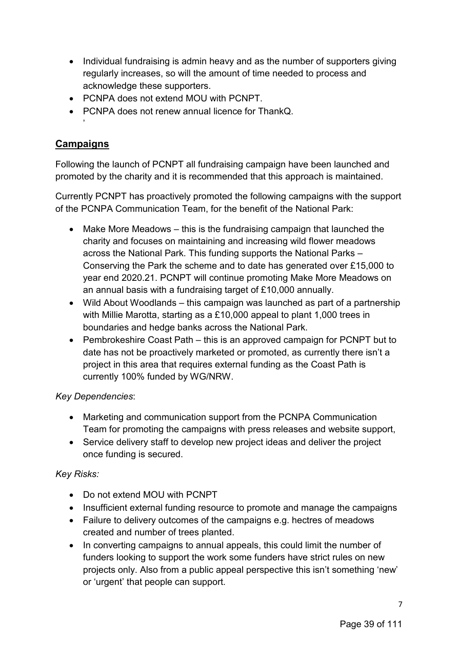- Individual fundraising is admin heavy and as the number of supporters giving regularly increases, so will the amount of time needed to process and acknowledge these supporters.
- PCNPA does not extend MOU with PCNPT.
- PCNPA does not renew annual licence for ThankQ.

## **Campaigns**

'

Following the launch of PCNPT all fundraising campaign have been launched and promoted by the charity and it is recommended that this approach is maintained.

Currently PCNPT has proactively promoted the following campaigns with the support of the PCNPA Communication Team, for the benefit of the National Park:

- Make More Meadows this is the fundraising campaign that launched the charity and focuses on maintaining and increasing wild flower meadows across the National Park. This funding supports the National Parks – Conserving the Park the scheme and to date has generated over £15,000 to year end 2020.21. PCNPT will continue promoting Make More Meadows on an annual basis with a fundraising target of £10,000 annually.
- Wild About Woodlands this campaign was launched as part of a partnership with Millie Marotta, starting as a £10,000 appeal to plant 1,000 trees in boundaries and hedge banks across the National Park.
- Pembrokeshire Coast Path this is an approved campaign for PCNPT but to date has not be proactively marketed or promoted, as currently there isn't a project in this area that requires external funding as the Coast Path is currently 100% funded by WG/NRW.

### *Key Dependencies*:

- Marketing and communication support from the PCNPA Communication Team for promoting the campaigns with press releases and website support,
- Service delivery staff to develop new project ideas and deliver the project once funding is secured.

### *Key Risks:*

- Do not extend MOU with PCNPT
- Insufficient external funding resource to promote and manage the campaigns
- Failure to delivery outcomes of the campaigns e.g. hectres of meadows created and number of trees planted.
- In converting campaigns to annual appeals, this could limit the number of funders looking to support the work some funders have strict rules on new projects only. Also from a public appeal perspective this isn't something 'new' or 'urgent' that people can support.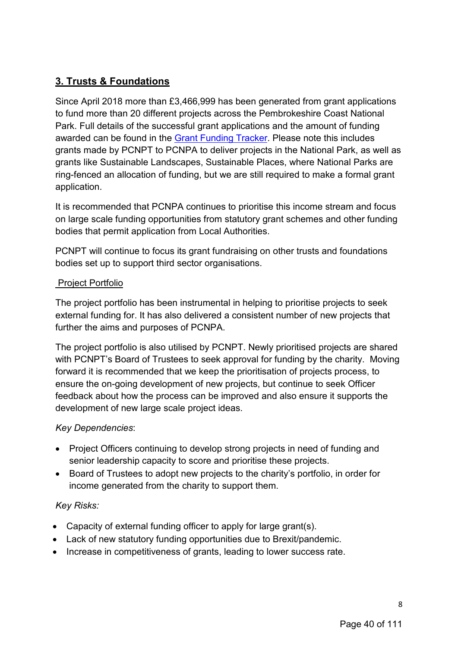# **3. Trusts & Foundations**

Since April 2018 more than £3,466,999 has been generated from grant applications to fund more than 20 different projects across the Pembrokeshire Coast National Park. Full details of the successful grant applications and the amount of funding awarded can be found in the [Grant Funding Tracker.](#page-15-0) Please note this includes grants made by PCNPT to PCNPA to deliver projects in the National Park, as well as grants like Sustainable Landscapes, Sustainable Places, where National Parks are ring-fenced an allocation of funding, but we are still required to make a formal grant application.

It is recommended that PCNPA continues to prioritise this income stream and focus on large scale funding opportunities from statutory grant schemes and other funding bodies that permit application from Local Authorities.

PCNPT will continue to focus its grant fundraising on other trusts and foundations bodies set up to support third sector organisations.

#### Project Portfolio

The project portfolio has been instrumental in helping to prioritise projects to seek external funding for. It has also delivered a consistent number of new projects that further the aims and purposes of PCNPA.

The project portfolio is also utilised by PCNPT. Newly prioritised projects are shared with PCNPT's Board of Trustees to seek approval for funding by the charity. Moving forward it is recommended that we keep the prioritisation of projects process, to ensure the on-going development of new projects, but continue to seek Officer feedback about how the process can be improved and also ensure it supports the development of new large scale project ideas.

### *Key Dependencies*:

- Project Officers continuing to develop strong projects in need of funding and senior leadership capacity to score and prioritise these projects.
- Board of Trustees to adopt new projects to the charity's portfolio, in order for income generated from the charity to support them.

### *Key Risks:*

- Capacity of external funding officer to apply for large grant(s).
- Lack of new statutory funding opportunities due to Brexit/pandemic.
- Increase in competitiveness of grants, leading to lower success rate.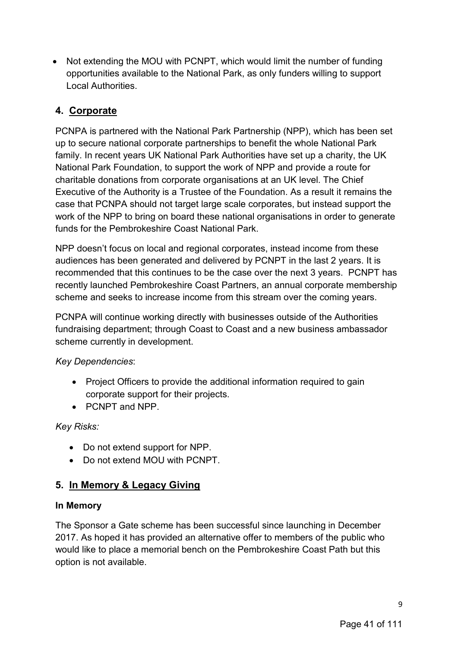• Not extending the MOU with PCNPT, which would limit the number of funding opportunities available to the National Park, as only funders willing to support Local Authorities.

# **4. Corporate**

PCNPA is partnered with the National Park Partnership (NPP), which has been set up to secure national corporate partnerships to benefit the whole National Park family. In recent years UK National Park Authorities have set up a charity, the UK National Park Foundation, to support the work of NPP and provide a route for charitable donations from corporate organisations at an UK level. The Chief Executive of the Authority is a Trustee of the Foundation. As a result it remains the case that PCNPA should not target large scale corporates, but instead support the work of the NPP to bring on board these national organisations in order to generate funds for the Pembrokeshire Coast National Park.

NPP doesn't focus on local and regional corporates, instead income from these audiences has been generated and delivered by PCNPT in the last 2 years. It is recommended that this continues to be the case over the next 3 years. PCNPT has recently launched Pembrokeshire Coast Partners, an annual corporate membership scheme and seeks to increase income from this stream over the coming years.

PCNPA will continue working directly with businesses outside of the Authorities fundraising department; through Coast to Coast and a new business ambassador scheme currently in development.

*Key Dependencies*:

- Project Officers to provide the additional information required to gain corporate support for their projects.
- PCNPT and NPP.

*Key Risks:*

- Do not extend support for NPP.
- Do not extend MOU with PCNPT

# **5. In Memory & Legacy Giving**

#### **In Memory**

The Sponsor a Gate scheme has been successful since launching in December 2017. As hoped it has provided an alternative offer to members of the public who would like to place a memorial bench on the Pembrokeshire Coast Path but this option is not available.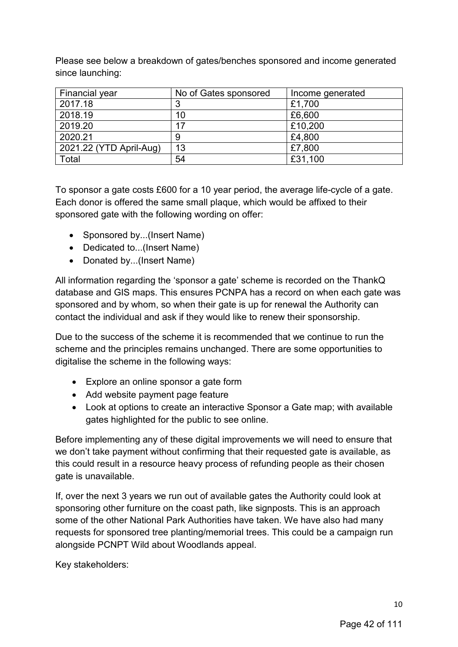Please see below a breakdown of gates/benches sponsored and income generated since launching:

| <b>Financial year</b>   | No of Gates sponsored | Income generated |
|-------------------------|-----------------------|------------------|
| 2017.18                 | 3                     | £1,700           |
| 2018.19                 | 10                    | £6,600           |
| 2019.20                 | 17                    | £10,200          |
| 2020.21                 | 9                     | £4,800           |
| 2021.22 (YTD April-Aug) | 13                    | £7,800           |
| Total                   | 54                    | £31,100          |

To sponsor a gate costs £600 for a 10 year period, the average life-cycle of a gate. Each donor is offered the same small plaque, which would be affixed to their sponsored gate with the following wording on offer:

- Sponsored by...(Insert Name)
- Dedicated to...(Insert Name)
- Donated by...(Insert Name)

All information regarding the 'sponsor a gate' scheme is recorded on the ThankQ database and GIS maps. This ensures PCNPA has a record on when each gate was sponsored and by whom, so when their gate is up for renewal the Authority can contact the individual and ask if they would like to renew their sponsorship.

Due to the success of the scheme it is recommended that we continue to run the scheme and the principles remains unchanged. There are some opportunities to digitalise the scheme in the following ways:

- Explore an online sponsor a gate form
- Add website payment page feature
- Look at options to create an interactive Sponsor a Gate map; with available gates highlighted for the public to see online.

Before implementing any of these digital improvements we will need to ensure that we don't take payment without confirming that their requested gate is available, as this could result in a resource heavy process of refunding people as their chosen gate is unavailable.

If, over the next 3 years we run out of available gates the Authority could look at sponsoring other furniture on the coast path, like signposts. This is an approach some of the other National Park Authorities have taken. We have also had many requests for sponsored tree planting/memorial trees. This could be a campaign run alongside PCNPT Wild about Woodlands appeal.

Key stakeholders: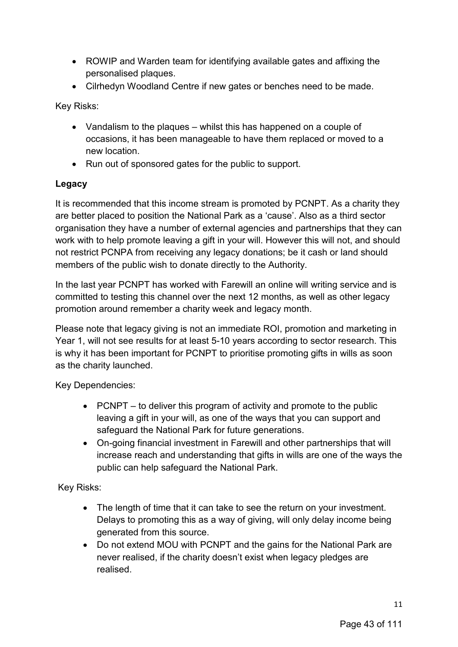- ROWIP and Warden team for identifying available gates and affixing the personalised plaques.
- Cilrhedyn Woodland Centre if new gates or benches need to be made.

Key Risks:

- Vandalism to the plaques whilst this has happened on a couple of occasions, it has been manageable to have them replaced or moved to a new location.
- Run out of sponsored gates for the public to support.

# **Legacy**

It is recommended that this income stream is promoted by PCNPT. As a charity they are better placed to position the National Park as a 'cause'. Also as a third sector organisation they have a number of external agencies and partnerships that they can work with to help promote leaving a gift in your will. However this will not, and should not restrict PCNPA from receiving any legacy donations; be it cash or land should members of the public wish to donate directly to the Authority.

In the last year PCNPT has worked with Farewill an online will writing service and is committed to testing this channel over the next 12 months, as well as other legacy promotion around remember a charity week and legacy month.

Please note that legacy giving is not an immediate ROI, promotion and marketing in Year 1, will not see results for at least 5-10 years according to sector research. This is why it has been important for PCNPT to prioritise promoting gifts in wills as soon as the charity launched.

Key Dependencies:

- PCNPT to deliver this program of activity and promote to the public leaving a gift in your will, as one of the ways that you can support and safeguard the National Park for future generations.
- On-going financial investment in Farewill and other partnerships that will increase reach and understanding that gifts in wills are one of the ways the public can help safeguard the National Park.

Key Risks:

- The length of time that it can take to see the return on your investment. Delays to promoting this as a way of giving, will only delay income being generated from this source.
- Do not extend MOU with PCNPT and the gains for the National Park are never realised, if the charity doesn't exist when legacy pledges are realised.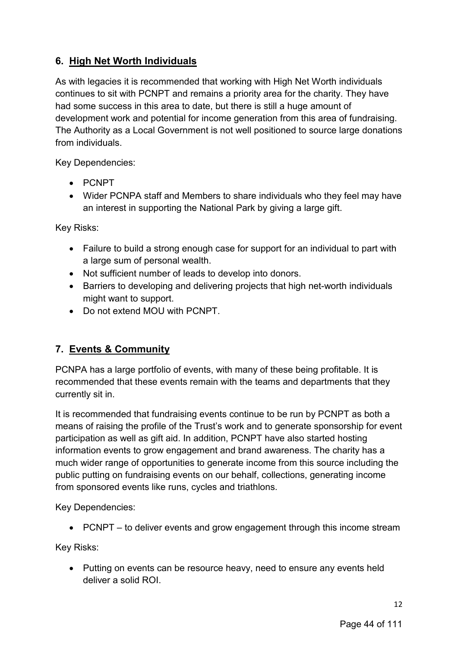# **6. High Net Worth Individuals**

As with legacies it is recommended that working with High Net Worth individuals continues to sit with PCNPT and remains a priority area for the charity. They have had some success in this area to date, but there is still a huge amount of development work and potential for income generation from this area of fundraising. The Authority as a Local Government is not well positioned to source large donations from individuals.

Key Dependencies:

- PCNPT
- Wider PCNPA staff and Members to share individuals who they feel may have an interest in supporting the National Park by giving a large gift.

Key Risks:

- Failure to build a strong enough case for support for an individual to part with a large sum of personal wealth.
- Not sufficient number of leads to develop into donors.
- Barriers to developing and delivering projects that high net-worth individuals might want to support.
- Do not extend MOU with PCNPT.

# **7. Events & Community**

PCNPA has a large portfolio of events, with many of these being profitable. It is recommended that these events remain with the teams and departments that they currently sit in.

It is recommended that fundraising events continue to be run by PCNPT as both a means of raising the profile of the Trust's work and to generate sponsorship for event participation as well as gift aid. In addition, PCNPT have also started hosting information events to grow engagement and brand awareness. The charity has a much wider range of opportunities to generate income from this source including the public putting on fundraising events on our behalf, collections, generating income from sponsored events like runs, cycles and triathlons.

Key Dependencies:

• PCNPT – to deliver events and grow engagement through this income stream

Key Risks:

• Putting on events can be resource heavy, need to ensure any events held deliver a solid ROI.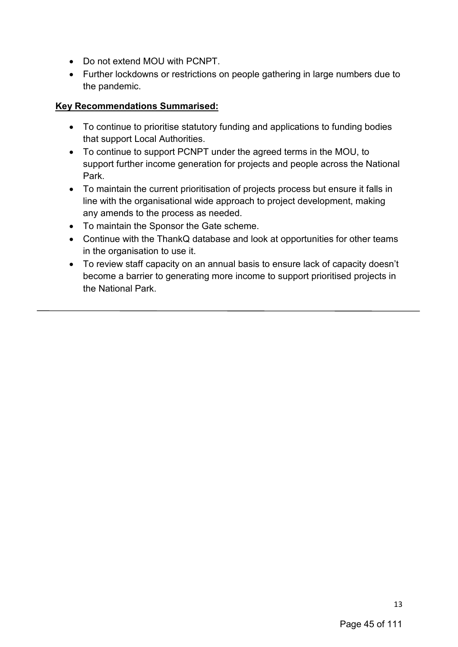- Do not extend MOU with PCNPT.
- Further lockdowns or restrictions on people gathering in large numbers due to the pandemic.

#### **Key Recommendations Summarised:**

- To continue to prioritise statutory funding and applications to funding bodies that support Local Authorities.
- To continue to support PCNPT under the agreed terms in the MOU, to support further income generation for projects and people across the National Park.
- To maintain the current prioritisation of projects process but ensure it falls in line with the organisational wide approach to project development, making any amends to the process as needed.
- To maintain the Sponsor the Gate scheme.
- Continue with the ThankQ database and look at opportunities for other teams in the organisation to use it.
- To review staff capacity on an annual basis to ensure lack of capacity doesn't become a barrier to generating more income to support prioritised projects in the National Park.